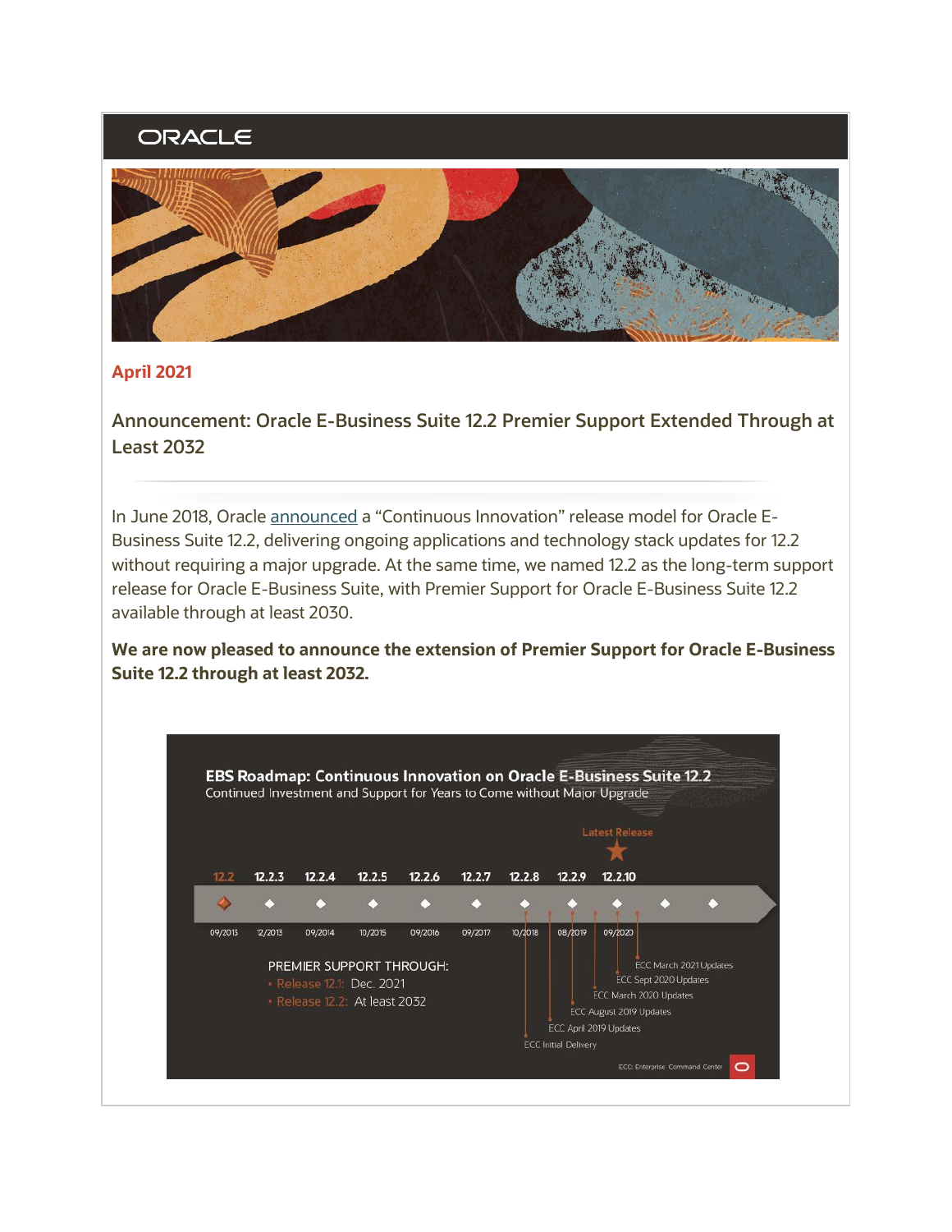## ORACLE



## **April 2021**

**Announcement: Oracle E-Business Suite 12.2 Premier Support Extended Through at Least 2032** 

 Business Suite 12.2, delivering ongoing applications and technology stack updates for 12.2 without requiring a major upgrade. At the same time, we named 12.2 as the long-term support release for Oracle E-Business Suite, with Premier Support for Oracle E-Business Suite 12.2 In June 2018, Oracle [announced](http://www.oracle.com/us/products/applications/ebs-suite-12-2-announcement-5172019.pdf) a "Continuous Innovation" release model for Oracle Eavailable through at least 2030.

 **We are now pleased to announce the extension of Premier Support for Oracle E-Business Suite 12.2 through at least 2032.**